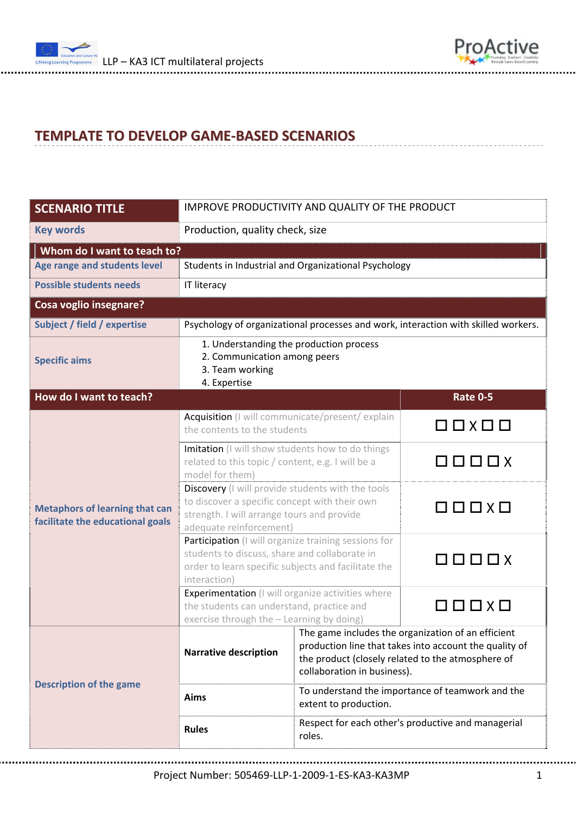



## **TEMPLATE TO DEVELOP GAME‐BASED SCENARIOS**

| <b>SCENARIO TITLE</b>                                                     | IMPROVE PRODUCTIVITY AND QUALITY OF THE PRODUCT                                                                                                                              |                                                                                                                                                                                                  |                                                  |  |  |  |  |
|---------------------------------------------------------------------------|------------------------------------------------------------------------------------------------------------------------------------------------------------------------------|--------------------------------------------------------------------------------------------------------------------------------------------------------------------------------------------------|--------------------------------------------------|--|--|--|--|
| <b>Key words</b>                                                          | Production, quality check, size                                                                                                                                              |                                                                                                                                                                                                  |                                                  |  |  |  |  |
| Whom do I want to teach to?                                               |                                                                                                                                                                              |                                                                                                                                                                                                  |                                                  |  |  |  |  |
| Age range and students level                                              | Students in Industrial and Organizational Psychology                                                                                                                         |                                                                                                                                                                                                  |                                                  |  |  |  |  |
| <b>Possible students needs</b>                                            | <b>IT literacy</b>                                                                                                                                                           |                                                                                                                                                                                                  |                                                  |  |  |  |  |
| <b>Cosa voglio insegnare?</b>                                             |                                                                                                                                                                              |                                                                                                                                                                                                  |                                                  |  |  |  |  |
| Subject / field / expertise                                               | Psychology of organizational processes and work, interaction with skilled workers.                                                                                           |                                                                                                                                                                                                  |                                                  |  |  |  |  |
| <b>Specific aims</b>                                                      | 1. Understanding the production process<br>2. Communication among peers<br>3. Team working<br>4. Expertise                                                                   |                                                                                                                                                                                                  |                                                  |  |  |  |  |
| How do I want to teach?                                                   |                                                                                                                                                                              |                                                                                                                                                                                                  | <b>Rate 0-5</b>                                  |  |  |  |  |
|                                                                           | Acquisition (I will communicate/present/explain<br>the contents to the students                                                                                              |                                                                                                                                                                                                  | $\Box$ $\Box$                                    |  |  |  |  |
| <b>Metaphors of learning that can</b><br>facilitate the educational goals | Imitation (I will show students how to do things<br>related to this topic / content, e.g. I will be a<br>model for them)                                                     |                                                                                                                                                                                                  | $\Box$                                           |  |  |  |  |
|                                                                           | Discovery (I will provide students with the tools<br>to discover a specific concept with their own<br>strength. I will arrange tours and provide<br>adequate reinforcement)  |                                                                                                                                                                                                  | $\Box\ \Box\ \Box\ \times \Box$                  |  |  |  |  |
|                                                                           | Participation (I will organize training sessions for<br>students to discuss, share and collaborate in<br>order to learn specific subjects and facilitate the<br>interaction) |                                                                                                                                                                                                  | $\square$ $\square$ $\square$ $\square$ $\times$ |  |  |  |  |
| <b>Description of the game</b>                                            | Experimentation (I will organize activities where<br>the students can understand, practice and<br>exercise through the - Learning by doing)                                  |                                                                                                                                                                                                  | $\square$ $\square$ $\square$ $\times$ $\square$ |  |  |  |  |
|                                                                           | <b>Narrative description</b>                                                                                                                                                 | The game includes the organization of an efficient<br>production line that takes into account the quality of<br>the product (closely related to the atmosphere of<br>collaboration in business). |                                                  |  |  |  |  |
|                                                                           | Aims                                                                                                                                                                         | To understand the importance of teamwork and the<br>extent to production.                                                                                                                        |                                                  |  |  |  |  |
|                                                                           | <b>Rules</b>                                                                                                                                                                 | Respect for each other's productive and managerial<br>roles.                                                                                                                                     |                                                  |  |  |  |  |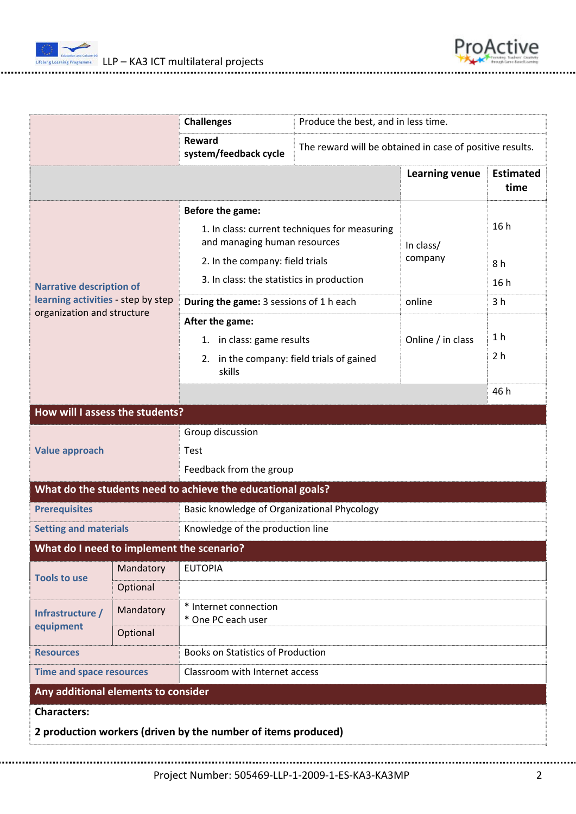



|                                                                                                     |                                                                               | <b>Challenges</b>                           | Produce the best, and in less time.                      |                |                          |  |  |  |
|-----------------------------------------------------------------------------------------------------|-------------------------------------------------------------------------------|---------------------------------------------|----------------------------------------------------------|----------------|--------------------------|--|--|--|
|                                                                                                     |                                                                               | Reward<br>system/feedback cycle             | The reward will be obtained in case of positive results. |                |                          |  |  |  |
|                                                                                                     |                                                                               |                                             |                                                          | Learning venue | <b>Estimated</b><br>time |  |  |  |
| <b>Narrative description of</b><br>learning activities - step by step<br>organization and structure | Before the game:                                                              |                                             |                                                          |                |                          |  |  |  |
|                                                                                                     | 1. In class: current techniques for measuring<br>and managing human resources |                                             | In class/                                                | 16h            |                          |  |  |  |
|                                                                                                     | 2. In the company: field trials                                               |                                             | company                                                  | 8h             |                          |  |  |  |
|                                                                                                     | 3. In class: the statistics in production                                     |                                             |                                                          | 16h            |                          |  |  |  |
|                                                                                                     | During the game: 3 sessions of 1 h each                                       |                                             | online                                                   | 3 <sub>h</sub> |                          |  |  |  |
|                                                                                                     | After the game:                                                               |                                             |                                                          |                |                          |  |  |  |
|                                                                                                     | 1. in class: game results                                                     |                                             | Online / in class                                        | 1 <sub>h</sub> |                          |  |  |  |
|                                                                                                     | 2. in the company: field trials of gained<br>skills                           |                                             | 2 <sub>h</sub>                                           |                |                          |  |  |  |
|                                                                                                     |                                                                               |                                             |                                                          | 46 h           |                          |  |  |  |
| How will I assess the students?                                                                     |                                                                               |                                             |                                                          |                |                          |  |  |  |
| <b>Value approach</b>                                                                               |                                                                               | Group discussion                            |                                                          |                |                          |  |  |  |
|                                                                                                     |                                                                               | Test                                        |                                                          |                |                          |  |  |  |
|                                                                                                     |                                                                               | Feedback from the group                     |                                                          |                |                          |  |  |  |
| What do the students need to achieve the educational goals?                                         |                                                                               |                                             |                                                          |                |                          |  |  |  |
| <b>Prerequisites</b>                                                                                | Basic knowledge of Organizational Phycology                                   |                                             |                                                          |                |                          |  |  |  |
| <b>Setting and materials</b>                                                                        |                                                                               | Knowledge of the production line            |                                                          |                |                          |  |  |  |
| What do I need to implement the scenario?                                                           |                                                                               |                                             |                                                          |                |                          |  |  |  |
| <b>Tools to use</b>                                                                                 | Mandatory                                                                     | <b>EUTOPIA</b>                              |                                                          |                |                          |  |  |  |
|                                                                                                     | Optional                                                                      |                                             |                                                          |                |                          |  |  |  |
| Infrastructure /<br>equipment                                                                       | Mandatory                                                                     | * Internet connection<br>* One PC each user |                                                          |                |                          |  |  |  |
|                                                                                                     | Optional                                                                      |                                             |                                                          |                |                          |  |  |  |
| <b>Resources</b>                                                                                    |                                                                               | <b>Books on Statistics of Production</b>    |                                                          |                |                          |  |  |  |
| <b>Time and space resources</b><br>Classroom with Internet access                                   |                                                                               |                                             |                                                          |                |                          |  |  |  |
| Any additional elements to consider                                                                 |                                                                               |                                             |                                                          |                |                          |  |  |  |
| <b>Characters:</b>                                                                                  |                                                                               |                                             |                                                          |                |                          |  |  |  |
| 2 production workers (driven by the number of items produced)                                       |                                                                               |                                             |                                                          |                |                          |  |  |  |